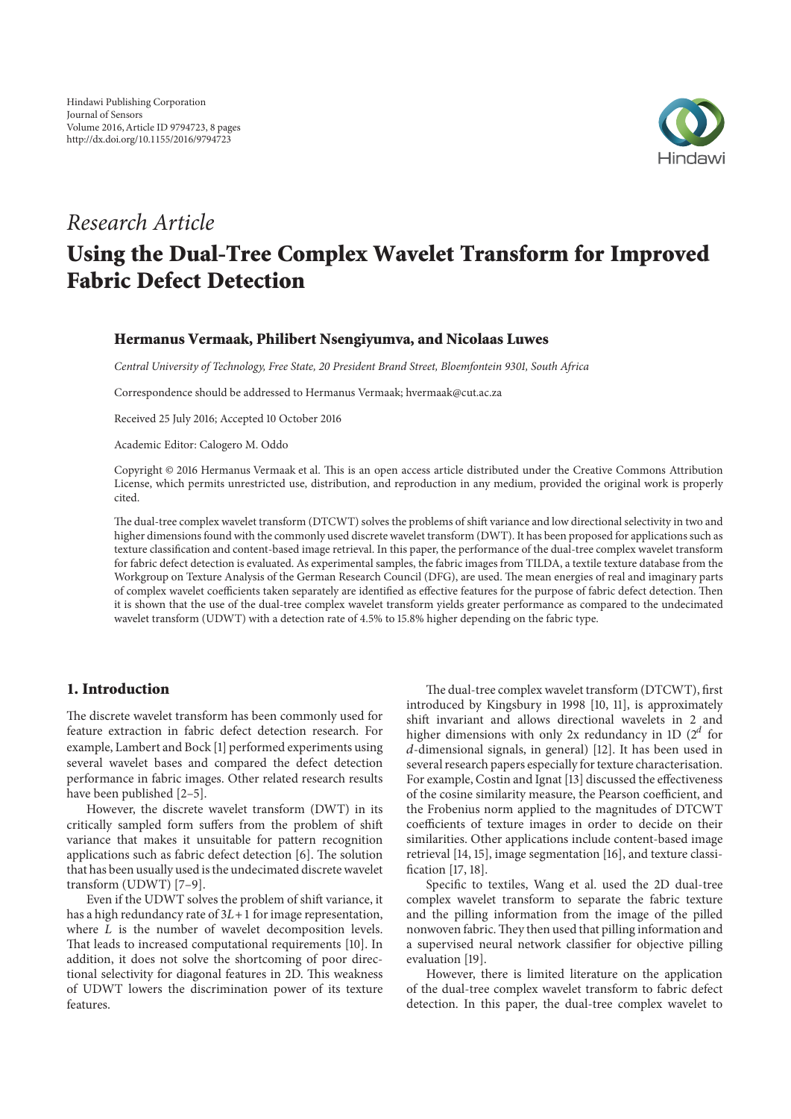

# *Research Article*

# **Using the Dual-Tree Complex Wavelet Transform for Improved Fabric Defect Detection**

### **Hermanus Vermaak, Philibert Nsengiyumva, and Nicolaas Luwes**

*Central University of Technology, Free State, 20 President Brand Street, Bloemfontein 9301, South Africa*

Correspondence should be addressed to Hermanus Vermaak; hvermaak@cut.ac.za

Received 25 July 2016; Accepted 10 October 2016

Academic Editor: Calogero M. Oddo

Copyright © 2016 Hermanus Vermaak et al. This is an open access article distributed under the Creative Commons Attribution License, which permits unrestricted use, distribution, and reproduction in any medium, provided the original work is properly cited.

The dual-tree complex wavelet transform (DTCWT) solves the problems of shift variance and low directional selectivity in two and higher dimensions found with the commonly used discrete wavelet transform (DWT). It has been proposed for applications such as texture classification and content-based image retrieval. In this paper, the performance of the dual-tree complex wavelet transform for fabric defect detection is evaluated. As experimental samples, the fabric images from TILDA, a textile texture database from the Workgroup on Texture Analysis of the German Research Council (DFG), are used. The mean energies of real and imaginary parts of complex wavelet coefficients taken separately are identified as effective features for the purpose of fabric defect detection. Then it is shown that the use of the dual-tree complex wavelet transform yields greater performance as compared to the undecimated wavelet transform (UDWT) with a detection rate of 4.5% to 15.8% higher depending on the fabric type.

# **1. Introduction**

The discrete wavelet transform has been commonly used for feature extraction in fabric defect detection research. For example, Lambert and Bock [1] performed experiments using several wavelet bases and compared the defect detection performance in fabric images. Other related research results have been published [2–5].

However, the discrete wavelet transform (DWT) in its critically sampled form suffers from the problem of shift variance that makes it unsuitable for pattern recognition applications such as fabric defect detection [6]. The solution that has been usually used is the undecimated discrete wavelet transform (UDWT) [7–9].

Even if the UDWT solves the problem of shift variance, it has a high redundancy rate of  $3L+1$  for image representation, where  $L$  is the number of wavelet decomposition levels. That leads to increased computational requirements [10]. In addition, it does not solve the shortcoming of poor directional selectivity for diagonal features in 2D. This weakness of UDWT lowers the discrimination power of its texture features.

The dual-tree complex wavelet transform (DTCWT), first introduced by Kingsbury in 1998 [10, 11], is approximately shift invariant and allows directional wavelets in 2 and higher dimensions with only 2x redundancy in 1D  $(2^d$  for -dimensional signals, in general) [12]. It has been used in several research papers especially for texture characterisation. For example, Costin and Ignat [13] discussed the effectiveness of the cosine similarity measure, the Pearson coefficient, and the Frobenius norm applied to the magnitudes of DTCWT coefficients of texture images in order to decide on their similarities. Other applications include content-based image retrieval [14, 15], image segmentation [16], and texture classification [17, 18].

Specific to textiles, Wang et al. used the 2D dual-tree complex wavelet transform to separate the fabric texture and the pilling information from the image of the pilled nonwoven fabric.They then used that pilling information and a supervised neural network classifier for objective pilling evaluation [19].

However, there is limited literature on the application of the dual-tree complex wavelet transform to fabric defect detection. In this paper, the dual-tree complex wavelet to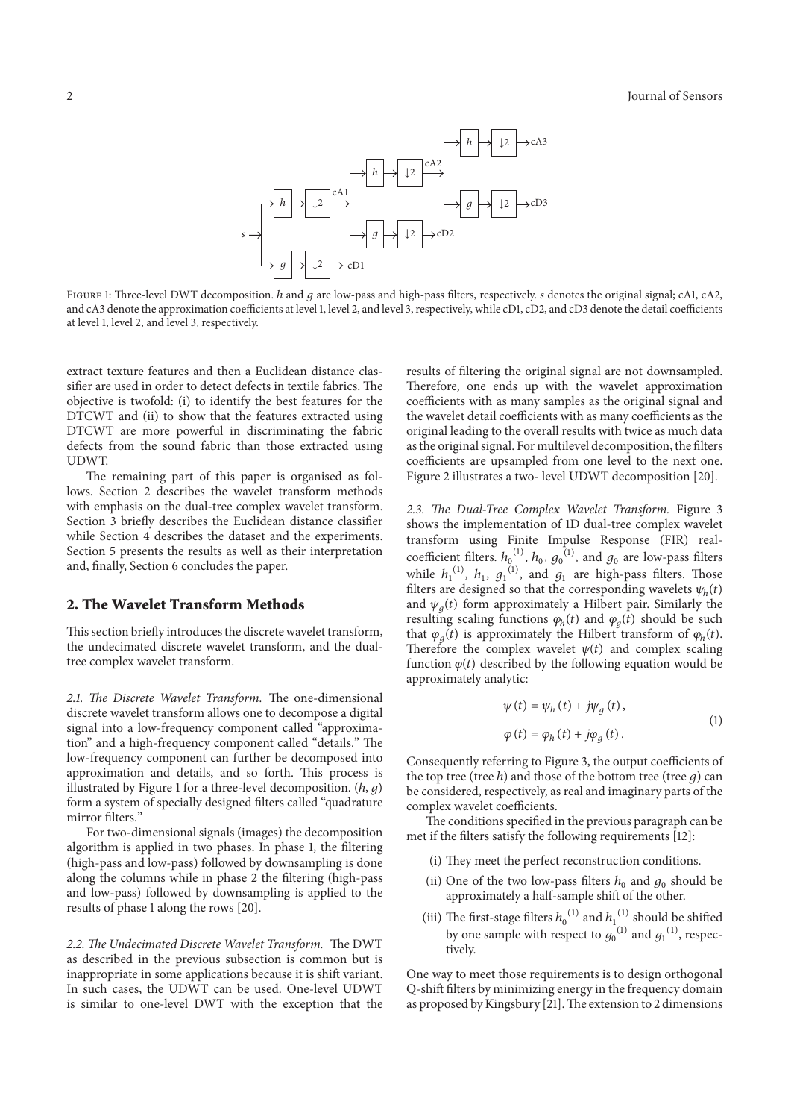

FIGURE 1: Three-level DWT decomposition. *h* and *q* are low-pass and high-pass filters, respectively. *s* denotes the original signal; cA1, cA2, and cA3 denote the approximation coefficients at level 1, level 2, and level 3, respectively, while cD1, cD2, and cD3 denote the detail coefficients at level 1, level 2, and level 3, respectively.

extract texture features and then a Euclidean distance classifier are used in order to detect defects in textile fabrics. The objective is twofold: (i) to identify the best features for the DTCWT and (ii) to show that the features extracted using DTCWT are more powerful in discriminating the fabric defects from the sound fabric than those extracted using UDWT.

The remaining part of this paper is organised as follows. Section 2 describes the wavelet transform methods with emphasis on the dual-tree complex wavelet transform. Section 3 briefly describes the Euclidean distance classifier while Section 4 describes the dataset and the experiments. Section 5 presents the results as well as their interpretation and, finally, Section 6 concludes the paper.

# **2. The Wavelet Transform Methods**

This section briefly introduces the discrete wavelet transform, the undecimated discrete wavelet transform, and the dualtree complex wavelet transform.

*2.1. The Discrete Wavelet Transform.* The one-dimensional discrete wavelet transform allows one to decompose a digital signal into a low-frequency component called "approximation" and a high-frequency component called "details." The low-frequency component can further be decomposed into approximation and details, and so forth. This process is illustrated by Figure 1 for a three-level decomposition.  $(h, g)$ form a system of specially designed filters called "quadrature mirror filters."

For two-dimensional signals (images) the decomposition algorithm is applied in two phases. In phase 1, the filtering (high-pass and low-pass) followed by downsampling is done along the columns while in phase 2 the filtering (high-pass and low-pass) followed by downsampling is applied to the results of phase 1 along the rows [20].

*2.2. The Undecimated Discrete Wavelet Transform.* The DWT as described in the previous subsection is common but is inappropriate in some applications because it is shift variant. In such cases, the UDWT can be used. One-level UDWT is similar to one-level DWT with the exception that the

results of filtering the original signal are not downsampled. Therefore, one ends up with the wavelet approximation coefficients with as many samples as the original signal and the wavelet detail coefficients with as many coefficients as the original leading to the overall results with twice as much data as the original signal. For multilevel decomposition, the filters coefficients are upsampled from one level to the next one. Figure 2 illustrates a two- level UDWT decomposition [20].

*2.3. The Dual-Tree Complex Wavelet Transform.* Figure 3 shows the implementation of 1D dual-tree complex wavelet transform using Finite Impulse Response (FIR) realcoefficient filters.  $h_0^{(1)}$ ,  $h_0$ ,  $g_0^{(1)}$ , and  $g_0$  are low-pass filters while  $h_1^{(1)}$ ,  $h_1$ ,  $g_1^{(1)}$ , and  $g_1$  are high-pass filters. Those filters are designed so that the corresponding wavelets  $\psi_h(t)$ and  $\psi_a(t)$  form approximately a Hilbert pair. Similarly the resulting scaling functions  $\varphi_h(t)$  and  $\varphi_a(t)$  should be such that  $\varphi_a(t)$  is approximately the Hilbert transform of  $\varphi_h(t)$ . Therefore the complex wavelet  $\psi(t)$  and complex scaling function  $\varphi(t)$  described by the following equation would be approximately analytic:

$$
\psi(t) = \psi_h(t) + j\psi_g(t),
$$
  
\n
$$
\varphi(t) = \varphi_h(t) + j\varphi_g(t).
$$
\n(1)

Consequently referring to Figure 3, the output coefficients of the top tree (tree  $h$ ) and those of the bottom tree (tree  $g$ ) can be considered, respectively, as real and imaginary parts of the complex wavelet coefficients.

The conditions specified in the previous paragraph can be met if the filters satisfy the following requirements [12]:

- (i) They meet the perfect reconstruction conditions.
- (ii) One of the two low-pass filters  $h_0$  and  $g_0$  should be approximately a half-sample shift of the other.
- (iii) The first-stage filters  $h_0^{(1)}$  and  $h_1^{(1)}$  should be shifted by one sample with respect to  $g_0^{(1)}$  and  $g_1^{(1)}$ , respectively.

One way to meet those requirements is to design orthogonal Q-shift filters by minimizing energy in the frequency domain as proposed by Kingsbury [21]. The extension to 2 dimensions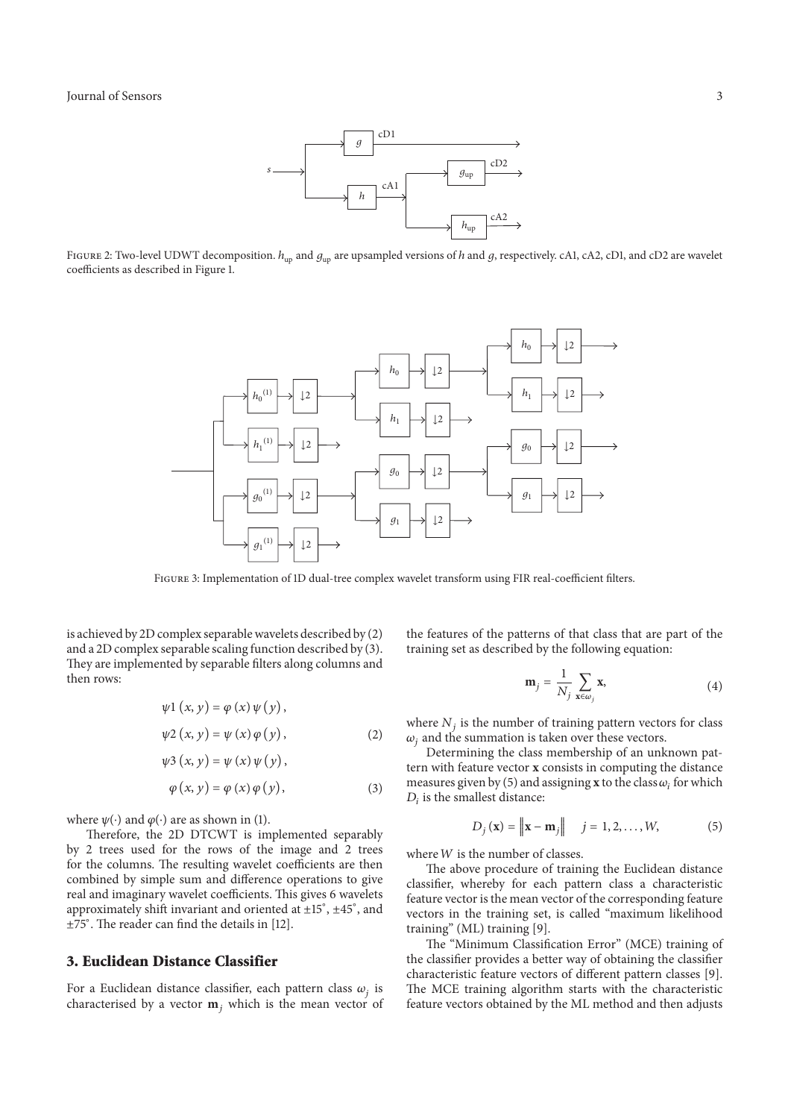

FIGURE 2: Two-level UDWT decomposition.  $h_{\text{un}}$  and  $g_{\text{un}}$  are upsampled versions of h and g, respectively. cA1, cA2, cD1, and cD2 are wavelet coefficients as described in Figure 1.



Figure 3: Implementation of 1D dual-tree complex wavelet transform using FIR real-coefficient filters.

is achieved by 2D complex separable wavelets described by (2) and a 2D complex separable scaling function described by (3). They are implemented by separable filters along columns and then rows:

$$
\psi 1(x, y) = \varphi(x) \psi(y),
$$
  

$$
\psi 2(x, y) = \psi(x) \varphi(y),
$$
 (2)

$$
\psi 3(x, y) = \psi(x) \psi(y),
$$

$$
\varphi(x, y) = \varphi(x) \varphi(y), \qquad (3)
$$

where  $\psi(\cdot)$  and  $\varphi(\cdot)$  are as shown in (1).

Therefore, the 2D DTCWT is implemented separably by 2 trees used for the rows of the image and 2 trees for the columns. The resulting wavelet coefficients are then combined by simple sum and difference operations to give real and imaginary wavelet coefficients. This gives 6 wavelets approximately shift invariant and oriented at ±15<sup>∘</sup> , ±45<sup>∘</sup> , and ±75<sup>∘</sup> . The reader can find the details in [12].

# **3. Euclidean Distance Classifier**

For a Euclidean distance classifier, each pattern class  $\omega_i$  is characterised by a vector  $\mathbf{m}_i$ , which is the mean vector of the features of the patterns of that class that are part of the training set as described by the following equation:

$$
\mathbf{m}_{j} = \frac{1}{N_{j}} \sum_{\mathbf{x} \in \omega_{j}} \mathbf{x}, \tag{4}
$$

where  $N_i$  is the number of training pattern vectors for class  $\omega_i$  and the summation is taken over these vectors.

Determining the class membership of an unknown pattern with feature vector **x** consists in computing the distance measures given by (5) and assigning **x** to the class  $\omega_i$  for which  $D_i$  is the smallest distance:

$$
D_j(\mathbf{x}) = \left\| \mathbf{x} - \mathbf{m}_j \right\| \quad j = 1, 2, \dots, W, \tag{5}
$$

where  $W$  is the number of classes.

The above procedure of training the Euclidean distance classifier, whereby for each pattern class a characteristic feature vector is the mean vector of the corresponding feature vectors in the training set, is called "maximum likelihood training" (ML) training [9].

The "Minimum Classification Error" (MCE) training of the classifier provides a better way of obtaining the classifier characteristic feature vectors of different pattern classes [9]. The MCE training algorithm starts with the characteristic feature vectors obtained by the ML method and then adjusts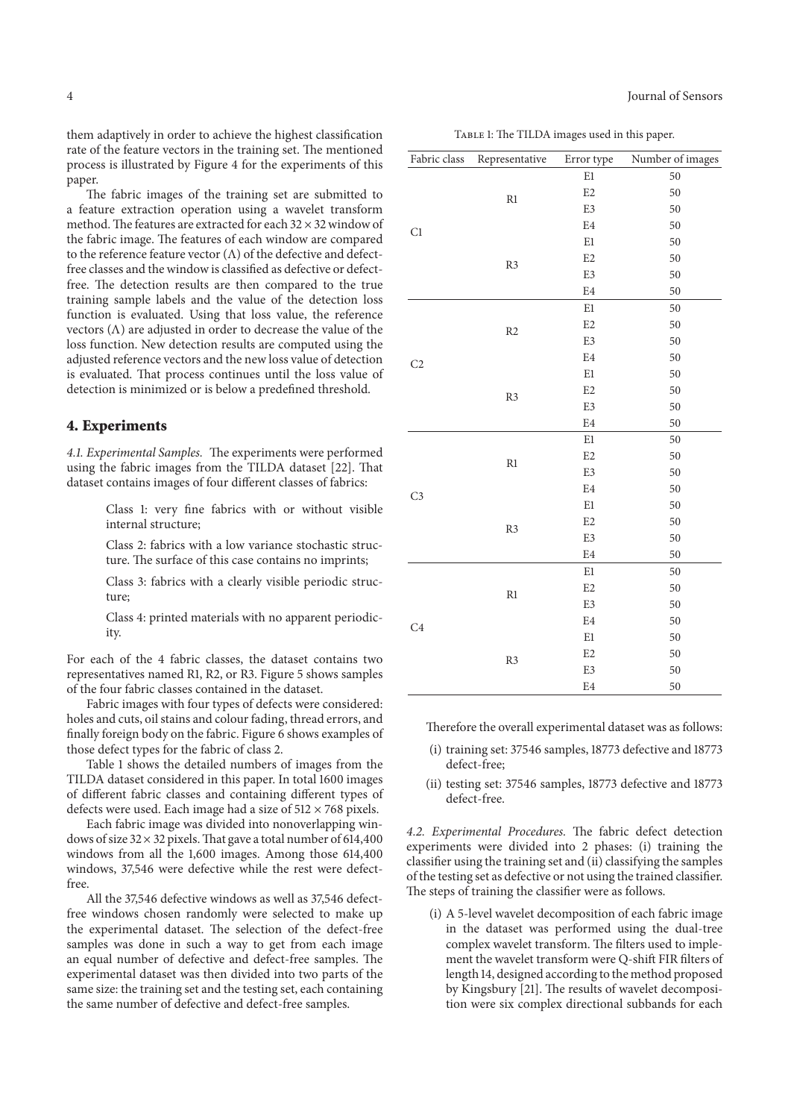them adaptively in order to achieve the highest classification rate of the feature vectors in the training set. The mentioned process is illustrated by Figure 4 for the experiments of this paper.

The fabric images of the training set are submitted to a feature extraction operation using a wavelet transform method. The features are extracted for each 32  $\times$  32 window of the fabric image. The features of each window are compared to the reference feature vector (Λ) of the defective and defectfree classes and the window is classified as defective or defectfree. The detection results are then compared to the true training sample labels and the value of the detection loss function is evaluated. Using that loss value, the reference vectors  $(Λ)$  are adjusted in order to decrease the value of the loss function. New detection results are computed using the adjusted reference vectors and the new loss value of detection is evaluated. That process continues until the loss value of detection is minimized or is below a predefined threshold.

#### **4. Experiments**

*4.1. Experimental Samples.* The experiments were performed using the fabric images from the TILDA dataset [22]. That dataset contains images of four different classes of fabrics:

> Class 1: very fine fabrics with or without visible internal structure;

> Class 2: fabrics with a low variance stochastic structure. The surface of this case contains no imprints;

> Class 3: fabrics with a clearly visible periodic structure;

> Class 4: printed materials with no apparent periodicity.

For each of the 4 fabric classes, the dataset contains two representatives named R1, R2, or R3. Figure 5 shows samples of the four fabric classes contained in the dataset.

Fabric images with four types of defects were considered: holes and cuts, oil stains and colour fading, thread errors, and finally foreign body on the fabric. Figure 6 shows examples of those defect types for the fabric of class 2.

Table 1 shows the detailed numbers of images from the TILDA dataset considered in this paper. In total 1600 images of different fabric classes and containing different types of defects were used. Each image had a size of  $512 \times 768$  pixels.

Each fabric image was divided into nonoverlapping windows of size  $32 \times 32$  pixels. That gave a total number of 614,400 windows from all the 1,600 images. Among those 614,400 windows, 37,546 were defective while the rest were defectfree.

All the 37,546 defective windows as well as 37,546 defectfree windows chosen randomly were selected to make up the experimental dataset. The selection of the defect-free samples was done in such a way to get from each image an equal number of defective and defect-free samples. The experimental dataset was then divided into two parts of the same size: the training set and the testing set, each containing the same number of defective and defect-free samples.

| <b>Iournal of Sensors</b><br>. |  |  |  |  |  |
|--------------------------------|--|--|--|--|--|
|--------------------------------|--|--|--|--|--|

TABLE 1: The TILDA images used in this paper.

| Fabric class   | Representative                  | Error type     | Number of images |
|----------------|---------------------------------|----------------|------------------|
|                |                                 | $\rm E1$       | 50               |
|                |                                 | E <sub>2</sub> | 50               |
| C1             | $\mathbb{R}1$                   | E3             | 50               |
|                |                                 | E4             | 50               |
|                |                                 | $\rm E1$       | 50               |
|                | R <sub>3</sub>                  | E <sub>2</sub> | 50               |
|                |                                 | E3             | 50               |
|                |                                 | E <sub>4</sub> | 50               |
| C <sub>2</sub> |                                 | $\rm E1$       | 50               |
|                | R2<br>R3                        | E <sub>2</sub> | 50               |
|                |                                 | E3             | 50               |
|                |                                 | E4             | 50               |
|                |                                 | E1             | 50               |
|                |                                 | E <sub>2</sub> | 50               |
|                |                                 | E3             | 50               |
|                |                                 | E <sub>4</sub> | 50               |
| C <sub>3</sub> |                                 | E1             | 50               |
|                | $\mathbb{R}1$<br>R <sub>3</sub> | E2             | 50               |
|                |                                 | E3             | 50               |
|                |                                 | E4             | 50               |
|                |                                 | E1             | 50               |
|                |                                 | E <sub>2</sub> | 50               |
|                |                                 | E3             | 50               |
|                |                                 | E4             | 50               |
|                | $\mathbb{R}1$                   | E1             | 50               |
| C <sub>4</sub> |                                 | E <sub>2</sub> | 50               |
|                |                                 | E3             | 50               |
|                |                                 | E <sub>4</sub> | 50               |
|                |                                 | $\rm E1$       | 50               |
|                | R <sub>3</sub>                  | E <sub>2</sub> | 50               |
|                |                                 | E3             | 50               |
|                |                                 | E <sub>4</sub> | 50               |

Therefore the overall experimental dataset was as follows:

- (i) training set: 37546 samples, 18773 defective and 18773 defect-free;
- (ii) testing set: 37546 samples, 18773 defective and 18773 defect-free.

*4.2. Experimental Procedures.* The fabric defect detection experiments were divided into 2 phases: (i) training the classifier using the training set and (ii) classifying the samples of the testing set as defective or not using the trained classifier. The steps of training the classifier were as follows.

(i) A 5-level wavelet decomposition of each fabric image in the dataset was performed using the dual-tree complex wavelet transform. The filters used to implement the wavelet transform were Q-shift FIR filters of length 14, designed according to the method proposed by Kingsbury [21]. The results of wavelet decomposition were six complex directional subbands for each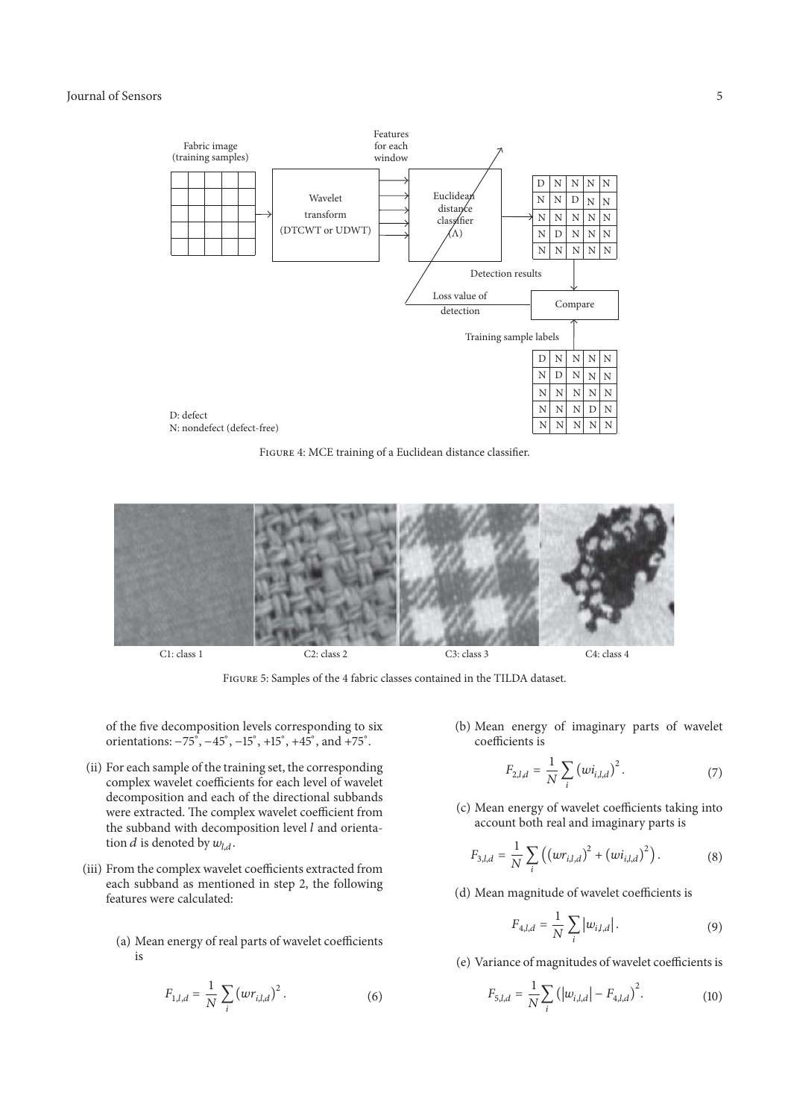#### Journal of Sensors 5



Figure 4: MCE training of a Euclidean distance classifier.



Figure 5: Samples of the 4 fabric classes contained in the TILDA dataset.

of the five decomposition levels corresponding to six orientations:  $-75^\circ$ ,  $-45^\circ$ ,  $-15^\circ$ ,  $+15^\circ$ ,  $+45^\circ$ , and  $+75^\circ$ .

- (ii) For each sample of the training set, the corresponding complex wavelet coefficients for each level of wavelet decomposition and each of the directional subbands were extracted. The complex wavelet coefficient from the subband with decomposition level  $l$  and orientation *d* is denoted by  $w_{l,d}$ .
- (iii) From the complex wavelet coefficients extracted from each subband as mentioned in step 2, the following features were calculated:
	- (a) Mean energy of real parts of wavelet coefficients is

$$
F_{1,l,d} = \frac{1}{N} \sum_{i} (wr_{i,l,d})^2.
$$
 (6)

(b) Mean energy of imaginary parts of wavelet coefficients is

$$
F_{2,l,d} = \frac{1}{N} \sum_{i} (wi_{i,l,d})^2.
$$
 (7)

(c) Mean energy of wavelet coefficients taking into account both real and imaginary parts is

$$
F_{3,l,d} = \frac{1}{N} \sum_{i} ((wr_{i,l,d})^2 + (wi_{i,l,d})^2).
$$
 (8)

(d) Mean magnitude of wavelet coefficients is

$$
F_{4,l,d} = \frac{1}{N} \sum_{i} |w_{i,l,d}|.
$$
 (9)

(e) Variance of magnitudes of wavelet coefficients is

$$
F_{5,l,d} = \frac{1}{N} \sum_{i} (|w_{i,l,d}| - F_{4,l,d})^2.
$$
 (10)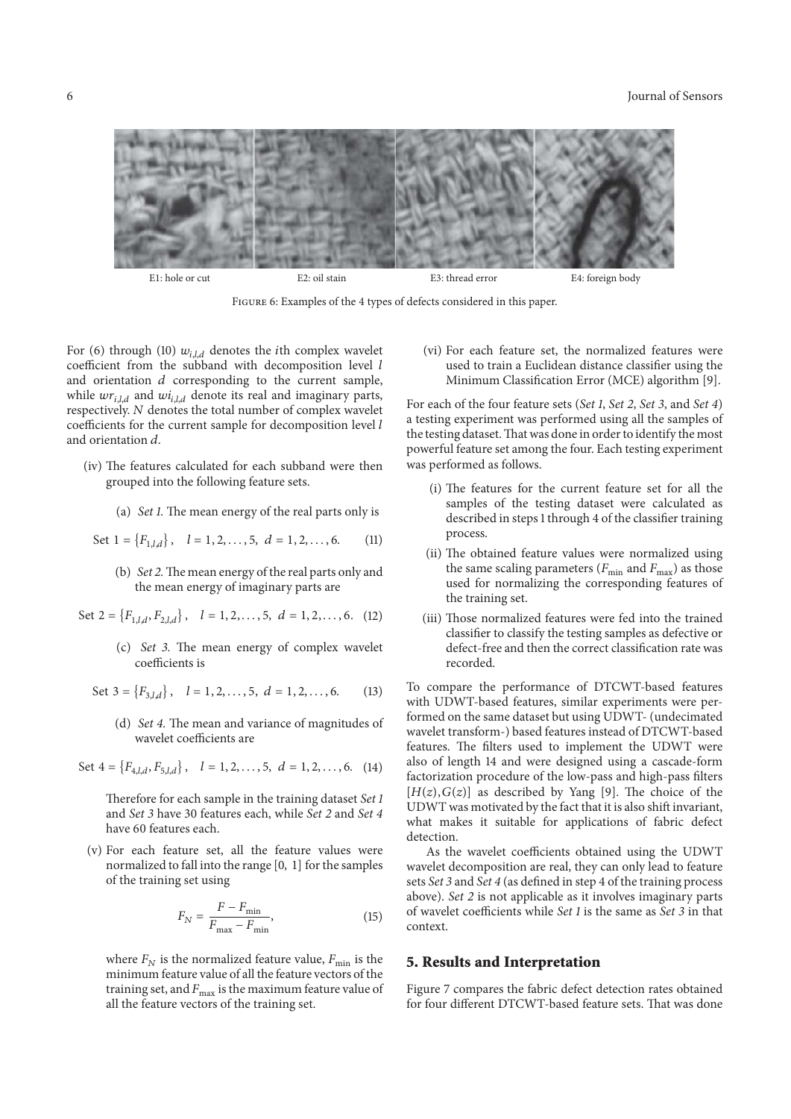#### 6 Journal of Sensors



Figure 6: Examples of the 4 types of defects considered in this paper.

For (6) through (10)  $w_{i,l,d}$  denotes the *i*th complex wavelet coefficient from the subband with decomposition level  $l$ and orientation  $d$  corresponding to the current sample, while  $wr_{i,l,d}$  and  $wi_{i,l,d}$  denote its real and imaginary parts, respectively. N denotes the total number of complex wavelet coefficients for the current sample for decomposition level and orientation  $d$ .

- (iv) The features calculated for each subband were then grouped into the following feature sets.
	- (a) *Set 1.* The mean energy of the real parts only is
	- Set  $1 = \{F_{1,l,d}\}, \quad l = 1, 2, ..., 5, \ d = 1, 2, ..., 6.$  (11)
		- (b) *Set 2.*The mean energy of the real parts only and the mean energy of imaginary parts are

Set  $2 = \{F_{1,l,d}, F_{2,l,d}\}, \quad l = 1, 2, ..., 5, \ d = 1, 2, ..., 6.$  (12)

(c) *Set 3.* The mean energy of complex wavelet coefficients is

Set  $3 = \{F_{3,l,d}\}, l = 1, 2, ..., 5, d = 1, 2, ..., 6.$  (13)

(d) *Set 4.* The mean and variance of magnitudes of wavelet coefficients are

Set  $4 = \{F_{4,l,d}, F_{5,l,d}\}, \quad l = 1, 2, ..., 5, \ d = 1, 2, ..., 6.$  (14)

Therefore for each sample in the training dataset *Set 1* and *Set 3* have 30 features each, while *Set 2* and *Set 4* have 60 features each.

(v) For each feature set, all the feature values were normalized to fall into the range [0, 1] for the samples of the training set using

$$
F_N = \frac{F - F_{\text{min}}}{F_{\text{max}} - F_{\text{min}}},\tag{15}
$$

where  $F_N$  is the normalized feature value,  $F_{\text{min}}$  is the minimum feature value of all the feature vectors of the training set, and  $F_{\text{max}}$  is the maximum feature value of all the feature vectors of the training set.

(vi) For each feature set, the normalized features were used to train a Euclidean distance classifier using the Minimum Classification Error (MCE) algorithm [9].

For each of the four feature sets (*Set 1*, *Set 2*, *Set 3*, and *Set 4*) a testing experiment was performed using all the samples of the testing dataset.That was done in order to identify the most powerful feature set among the four. Each testing experiment was performed as follows.

- (i) The features for the current feature set for all the samples of the testing dataset were calculated as described in steps 1 through 4 of the classifier training process.
- (ii) The obtained feature values were normalized using the same scaling parameters ( $F_{\text{min}}$  and  $F_{\text{max}}$ ) as those used for normalizing the corresponding features of the training set.
- (iii) Those normalized features were fed into the trained classifier to classify the testing samples as defective or defect-free and then the correct classification rate was recorded.

To compare the performance of DTCWT-based features with UDWT-based features, similar experiments were performed on the same dataset but using UDWT- (undecimated wavelet transform-) based features instead of DTCWT-based features. The filters used to implement the UDWT were also of length 14 and were designed using a cascade-form factorization procedure of the low-pass and high-pass filters  $[H(z), G(z)]$  as described by Yang [9]. The choice of the UDWT was motivated by the fact that it is also shift invariant, what makes it suitable for applications of fabric defect detection.

As the wavelet coefficients obtained using the UDWT wavelet decomposition are real, they can only lead to feature sets *Set 3* and *Set 4* (as defined in step 4 of the training process above). *Set 2* is not applicable as it involves imaginary parts of wavelet coefficients while *Set 1* is the same as *Set 3* in that context.

#### **5. Results and Interpretation**

Figure 7 compares the fabric defect detection rates obtained for four different DTCWT-based feature sets. That was done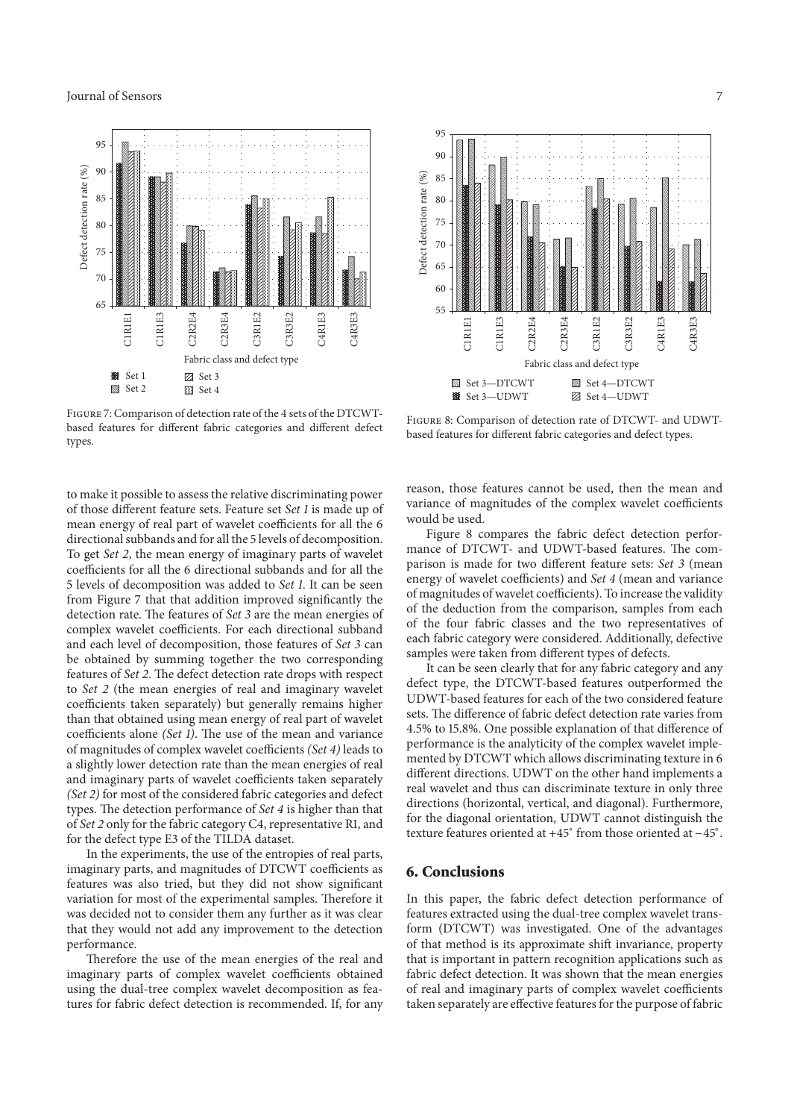

FIGURE 7: Comparison of detection rate of the 4 sets of the DTCWTbased features for different fabric categories and different defect types.

to make it possible to assess the relative discriminating power of those different feature sets. Feature set *Set 1* is made up of mean energy of real part of wavelet coefficients for all the 6 directional subbands and for all the 5 levels of decomposition. To get *Set 2*, the mean energy of imaginary parts of wavelet coefficients for all the 6 directional subbands and for all the 5 levels of decomposition was added to *Set 1*. It can be seen from Figure 7 that that addition improved significantly the detection rate. The features of *Set 3* are the mean energies of complex wavelet coefficients. For each directional subband and each level of decomposition, those features of *Set 3* can be obtained by summing together the two corresponding features of *Set 2*. The defect detection rate drops with respect to *Set 2* (the mean energies of real and imaginary wavelet coefficients taken separately) but generally remains higher than that obtained using mean energy of real part of wavelet coefficients alone *(Set 1)*. The use of the mean and variance of magnitudes of complex wavelet coefficients *(Set 4)* leads to a slightly lower detection rate than the mean energies of real and imaginary parts of wavelet coefficients taken separately *(Set 2)* for most of the considered fabric categories and defect types. The detection performance of *Set 4* is higher than that of *Set 2* only for the fabric category C4, representative R1, and for the defect type E3 of the TILDA dataset.

In the experiments, the use of the entropies of real parts, imaginary parts, and magnitudes of DTCWT coefficients as features was also tried, but they did not show significant variation for most of the experimental samples. Therefore it was decided not to consider them any further as it was clear that they would not add any improvement to the detection performance.

Therefore the use of the mean energies of the real and imaginary parts of complex wavelet coefficients obtained using the dual-tree complex wavelet decomposition as features for fabric defect detection is recommended. If, for any



Figure 8: Comparison of detection rate of DTCWT- and UDWTbased features for different fabric categories and defect types.

reason, those features cannot be used, then the mean and variance of magnitudes of the complex wavelet coefficients would be used.

Figure 8 compares the fabric defect detection performance of DTCWT- and UDWT-based features. The comparison is made for two different feature sets: *Set 3* (mean energy of wavelet coefficients) and *Set 4* (mean and variance of magnitudes of wavelet coefficients). To increase the validity of the deduction from the comparison, samples from each of the four fabric classes and the two representatives of each fabric category were considered. Additionally, defective samples were taken from different types of defects.

It can be seen clearly that for any fabric category and any defect type, the DTCWT-based features outperformed the UDWT-based features for each of the two considered feature sets. The difference of fabric defect detection rate varies from 4.5% to 15.8%. One possible explanation of that difference of performance is the analyticity of the complex wavelet implemented by DTCWT which allows discriminating texture in 6 different directions. UDWT on the other hand implements a real wavelet and thus can discriminate texture in only three directions (horizontal, vertical, and diagonal). Furthermore, for the diagonal orientation, UDWT cannot distinguish the texture features oriented at +45<sup>∘</sup> from those oriented at −45<sup>∘</sup> .

#### **6. Conclusions**

In this paper, the fabric defect detection performance of features extracted using the dual-tree complex wavelet transform (DTCWT) was investigated. One of the advantages of that method is its approximate shift invariance, property that is important in pattern recognition applications such as fabric defect detection. It was shown that the mean energies of real and imaginary parts of complex wavelet coefficients taken separately are effective features for the purpose of fabric